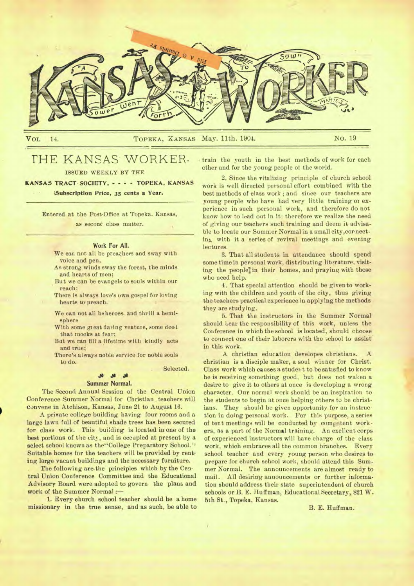

VOL 14. TOPEKA, XANSAS **May. 11th.** 1904. NO. 19

# THE KANSAS WORKER.

ISSUED WEEKLY BY THE

KANSAS **TRACT• SOCIETY, - - - TOPEKA, KANSAS** 

**Subscription Price, 35 cents a Year.** 

Entered at the Post-Office at Topeka. Kansas, as second class matter.

#### Work For All.

We can not all be preachers and sway with voice and pen,

- As strong winds sway the forest, the minds and hearts of men;
- But we can be evangels to souls within our reach;
- There is always love's owe gospel for loving hearts to preach.
- We can not all be heroes, and thrill a hemisphere
- With some great daring venture, some deed that mocks at fear;
- But we can fill a lifetime with kindly acts and true;
- There's always noble service for noble souls to do.

Selected.

### Summer Normal.

*JG .04* 

The Second Annual Session of the Central Union Conference Summer Normal for Christian teachers will convene in Atchison. Kansas, June 21 to August 16.

A private college building having four rooms and a large lawn full of beautiful shade trees has been secured for class work. This building is located in one of the best portions of the city, and is occupied at present by a select school known as the "College Preparatory School." Suitable homes for the teachers will be provided by renting large vacant buildings and the necessary furniture.

The following are the principles which by the Central Union Conference Committee and the Educational Advisory Board were adopted to govern the plans and work of the Summer Normal :-

1. Every church school teacher should be a home missionary in the true sense, and as such, be able to

train the youth in the best methods of work for each other and for the *young* people of the world.

2. Since the vitalizing principle of church school work is well directed personal effort combined with the best methods of class work ; and since our teachers are young people who have had very little training or experience in such personal work, and therefore do not know how to lead out in it: therefore we realize the need of giving our teachers such training and deem it advisable to locate our Summer Normal in a small city,cornecting with it a series of revival meetings and evening lectures.

3. That all students in attendance should spend some time in personal work, distributing literature, visiting the people] in their homes, and praying with those who need help.

4. That special attention should be given to working with the children and youth of the city, thus giving the teachers practical experience in applying the methods they are studying.

5. That the instructors in the Summer Normal should bear the responsibility of this work, unless the Conference in which the school is located, should choose to connect one of their laborers with the school to assist in this work.

A christian education developes christians. christian is a disciple maker, a soul winner for Christ. Class work which causes a student to be satisfied to know he is receiving something good, but does not waken a desire to *give it* to others at once is developing a wrong character. Our normal work should be an inspiration to the students to begin at once helping others to be christians. They should be given opportunity for an instruction in doing personal work. For this purpose, a series of tent meetings will be conducted by competent workers, as a part of the Normal training. An exellent corps of experienced instructors will have charge of the class work, which embraces all the common branches. Every school teacher and every young person who desires to prepare for church school work, should attend this Summer Normal. The announcements are almost ready to mail. All desiring announcements or further information should address their state superintendent of church schools or B. E. Huffman, Educational Secretary, 821 W. 5th St., Topeka, Kansas.

B. E. Huffman.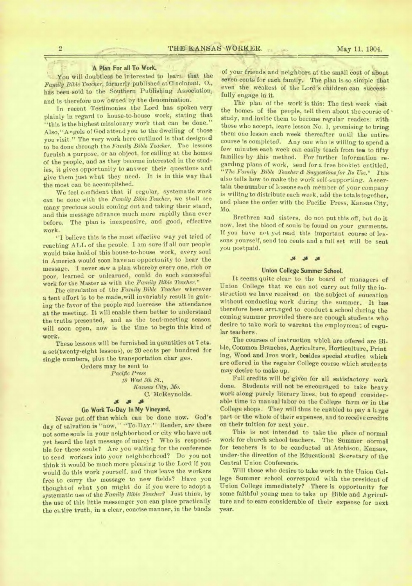#### A Plan For all To Work.

You will doubtless be interested to learn, that the *Family Bible Teacher,* formerly published at Cincinnati, 0., has been sold to the Southern Publishing Association, and is therefore now owned by the denomination.

In recent Testimonies the Lord has spoken very plainly in regard to house-to-house work, stating that "this is the highest missionary work that can be done." Also, "Angels of God attend you to the dwelling of those you visit." The very work here outlined is that designed to be done through the *Family Bible Teacher.* The lessons furnish a purpose, or an object, for calling at the homes of the people, and as they become interested in the studies, it gives opportunity to answer their questions and give them just what they need. It is in this way that the most can be accomplished.

We feel confident that if regular, systematic work can be done with the *Family Bible Teacher,* we shall see many precious souls coming out and taking their stand, and this message advance much more rapidly than ever before. The plan is inexpensive, and good, effective work.

"I believe this is the most effective way yet tried of reaching ALL of the people. I am sure if all our people would take hold of this house-to-house work, every soul in America would soon have an opportunity to bear the message. I never saw a plan whereby every one, rich or poor, learned or unlearned, could do such successful work for the Master as with *the Family Bible Teacher."* 

The circulation of the *Family Bible Teacher* wherever a tent effort is to be made,will invariably result in gaining the favor of the people and increase the attendance at the meeting. It will enable them better to understand the truths presented, and as the tent-meeting season will soon open, now is the time to begin this kind of work.

These lessons will be furnished in quantities at 7 cta. a set(twenty-eight lessons), or 20 cents per hundred for single numbers, plus the transportation char ges.

Orders may be sent to *Pacific Press 18 West 5th St., Kansas City, Mo.*  C. McReynolds.

#### \$

### **Go Work To-Day In My Vineyard.**

Never put off that which can be done now. God's day of salvation is "now," "To-DAY." Reader, are there not some souls in your neighborhood or city who have not yet heard the last message of mercy? Who is responsible for these souls? Are you waiting for the conference to send workers into your neighborhood? Do you not think it would be much more pleasing to the Lord if you would do this work yourself. and thus leave the workers free to carry the message to new fields? Have you thought of what you might do if you were to adopt a systematic use of the *Family Bible Teacher?* Just think, by the use of this little messenger you can place practically the entire truth, in a clear, concise manner, in the bands

of your friends and neighbors at the small cost of about seven cents for each family. The plan is so simple that even the weakest of the Lord's children can successfully engage in it.

The plan of the work is this: The first week visit the homes of the people, tell them about the course of • study, and invite them to become regular readers: with those who accept, leave lesson No. 1, promising to bring them one lesson each week thereafter until the entire course is completed. Any one who is willing to spend a few minutes each week can easily teach from tea to fifty families by ,this method. For further information regarding plans of work, send for a free booklet entitled, *"The Family Bible Teacher & Suggestions for Its Use."* This also tells how to make the work self-supporting. Ascertain the number of lcssonseach member of your company is willing to distribute each week, add the totals together, and place the order with the Pacific Press, Kansas City, Mo.

Brethren and sisters, do not put this off, but do it now, lest the blood of souls be found on your garments. If you have net yet read this important course of lessons yourself, send ten cents and a full set will be sent you postpaid.

## .11 .118 Js

#### **Union College Summer School.**

It seems quite clear to the board of managers of Union College that we can not carry out fully the instruction we have received on the subject of education without conducting work during the summer. It has therefore been arranged to conduct a school during the coming summer provided there are enough students who desire to take work to warrant the employment of regular teachers.

The courses of instruction which are offered are Bible, Common Branches, Agriculture, Horticulture, Print ing, Wood and Iron work, besides special studies which are offered in the regular College course which students may desire to make up.

Full credits will be given for all satisfactory work done. Students will not be encouraged to take heavy work along purely literary lines, but to spend considerable time in manual labor on the College farm or in the College shops. They will thus be enabled to pay a large part or the whole of their expenses, and to receive credits on their tuition for next year.

This is not intended to take the place of normal work for church school teachers. The Summer normal for teachers is to be conducted at Atchison, Kansas, under the direction of the Educational Secretary of the Central Union Conference.

Will those who desire to take work in the Union College Summer school correspond with the president of Union College immediately? There is opportunity for some faithful young men to take up Bible and Agriculture and to earn considerable of their expense for next year.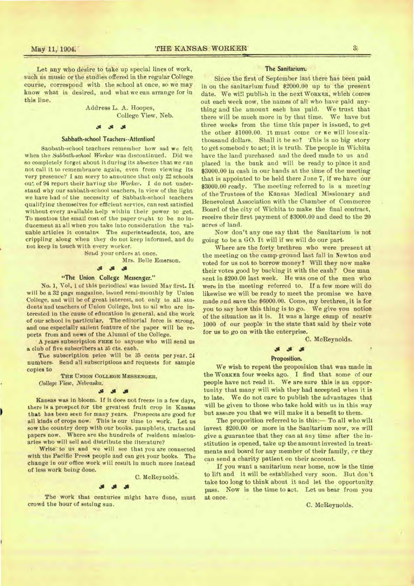Let any who desire to take up special lines of work, such as music or the studies offered in the regular College course, correspond with the school at once, so we may know what is desired, and what we can arrange for in this line.

> Address L. A. Hoopes, College View, Neb.

### **al J. .31**

#### Sabbath-school Teachers--Attention)

Saobath-school teachers remember how sad we felt when the *Sabbath-school Worker* was discontinued. Did we so completely forget about it during its absence that we ran not call it to remembrance again, even from viewing its very presence? I am sorry to announce that only 22 schools out of 94 report their having the *Worker. I* do not understand why our sabbath-school teachers, in view of the light we have bad of the necessity of Sabbath-school teachers qualifying themselves for efficient service, can rest satisfied without every available help within their power to *get.*  To mention the small cost of the paper ought to be no inducement at all when you take into consideration the valuable articles it contains. The superintendents, too, are crippling along when they do not keep informed, and do not keep in touch with every worker.

Send your orders at once.

Mrs. Belle Emerson.

$$
\mathcal{S}=\mathcal{S}^{\mathcal{S}}\quad\text{,}
$$

#### "The Union College Messenger."

No. 1, Vol. 1 of this periodical was issued May first. It will be a 32 page magazine, issued semi-monthly by Union College, and will be of great interest, not only to all students and teachers of Union College, but to ail who are interested in the cause of education in general, and the work of our school in particular, The editorial force is strong, and one especially salient feature of the paper will be reports from and news of the Alumni of the College.

A years subscription **FREE** to anyone who will send us a club of five subscribers at 35 cts. eaob.

The subscription price will be 35 cents per year. 24 numbers. Send all subscriptions and requests for sample copies to

**THE UNION COLLEGE MESSENGER,** 

*College View, Nebraska.* 

Kansas was in bloom. if it does not freeze in a few days, there is a prospect for the greatest fruit crop in Kansas that has been seen for many *years.* Prospects are good for all kinds of crops now. This is our time to work. Let us sow the country deep with our books, pamphlets, tracts and papers now. Where are the hundreds of resident missionaries who will sell and distribute the literature?

Write to us and we will see that you are connected with the Pacific Press people and can get your books. The change in our office work will result in much more instead of less work being done.

C. McReynolds.

#### .10 Jg

The work that centuries might have done, must crowd the hour of setting sun. C. McReynolds.

#### The Sanitarium.

Since the first of September last there has been paid in on the sanitarium fund \$2000.00 up to the present date. We will publish in the next **WORKER,** which comes out each week now, the names of all who have paid anything and the amount each has paid. We trust that there will be much more in by that time. We have but three weeks from the time this paper is issued, to get the other  $$1000.00.$  1t must come or we will lose sixthousand dollars. Shall it be so? 'This is no big story to get somebody to act; it is truth. The people in Wichita have the land purchased and the deed made to us and placed in the bank and will be ready to place it and \$3000.00 in cash in our hands at the time of the meeting that is appointed to be held there June 7, if we have our \$3000.00 ready. The meeting referred to is a meeting of the Trustees of the Kansas Medical Missionary and Benevolent Association with the Chamber of Commerce Board of the city of Wichita to make the final contract, receive their first payment of \$3000.00 and deed to the 20 acres of land.

Now don't any one say that the Sanitarium is not going to be a GO. It will if we will do our part.

Where are the forty brethren wbo were present at the meeting on the camp-ground last fall in Newton and voted for us not to borrow money? Will they now make their votes good by backing it with the cash? One man sent in \$200.00 last week. He was one of the men who were in the meeting referred to. If a few more will do likewise we will be ready to meet the promise we have made and save the \$6000.00. Come, my brethren, it is for you to say how this thing is to go. We give you notice of the situation as it is. It was a large camp of nearly 1000 of our people in the state that said by their vote for us to go on with the enterprise.

C. McReynolds.

#### **Js**

#### Proposition.

We wish to repeat the proposition that was made in the **WORKER** four weeks ago. I find that some of our people have not read it. We are sure this is an opportunity that many will wish they had accepted when it is to late. We do not care to publish the advantages that will be given to those who take hold with us in this way but assure you that we will make it a benefit to them.

The proposition referred to is this:— To all who wilt invest \$200.00 or more in the Sanitarium now, we will give a guarantee that they can at any time after the institution is opened, take up the amount invested in treatments and board for any member of their family, or they can send a charity patient on their account.

If you want a sanitarium near home, now is the time to lift and it will be established very soon. But don't take too long to think about it and let the opportunity pass. Now is the time to act. Let us hear from you at once.